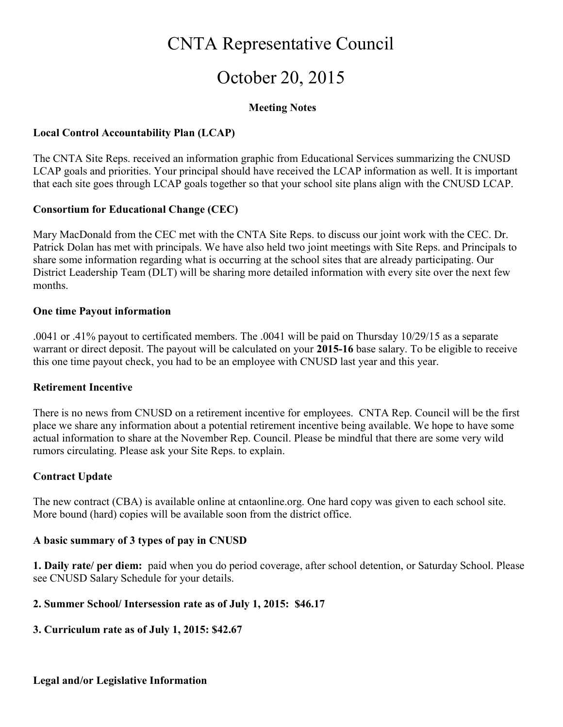## CNTA Representative Council

# October 20, 2015

#### Meeting Notes

#### Local Control Accountability Plan (LCAP)

The CNTA Site Reps. received an information graphic from Educational Services summarizing the CNUSD LCAP goals and priorities. Your principal should have received the LCAP information as well. It is important that each site goes through LCAP goals together so that your school site plans align with the CNUSD LCAP.

#### Consortium for Educational Change (CEC)

Mary MacDonald from the CEC met with the CNTA Site Reps. to discuss our joint work with the CEC. Dr. Patrick Dolan has met with principals. We have also held two joint meetings with Site Reps. and Principals to share some information regarding what is occurring at the school sites that are already participating. Our District Leadership Team (DLT) will be sharing more detailed information with every site over the next few months.

#### One time Payout information

.0041 or .41% payout to certificated members. The .0041 will be paid on Thursday 10/29/15 as a separate warrant or direct deposit. The payout will be calculated on your 2015-16 base salary. To be eligible to receive this one time payout check, you had to be an employee with CNUSD last year and this year.

#### Retirement Incentive

There is no news from CNUSD on a retirement incentive for employees. CNTA Rep. Council will be the first place we share any information about a potential retirement incentive being available. We hope to have some actual information to share at the November Rep. Council. Please be mindful that there are some very wild rumors circulating. Please ask your Site Reps. to explain.

#### Contract Update

The new contract (CBA) is available online at cntaonline.org. One hard copy was given to each school site. More bound (hard) copies will be available soon from the district office.

#### A basic summary of 3 types of pay in CNUSD

1. Daily rate/ per diem: paid when you do period coverage, after school detention, or Saturday School. Please see CNUSD Salary Schedule for your details.

#### 2. Summer School/ Intersession rate as of July 1, 2015: \$46.17

#### 3. Curriculum rate as of July 1, 2015: \$42.67